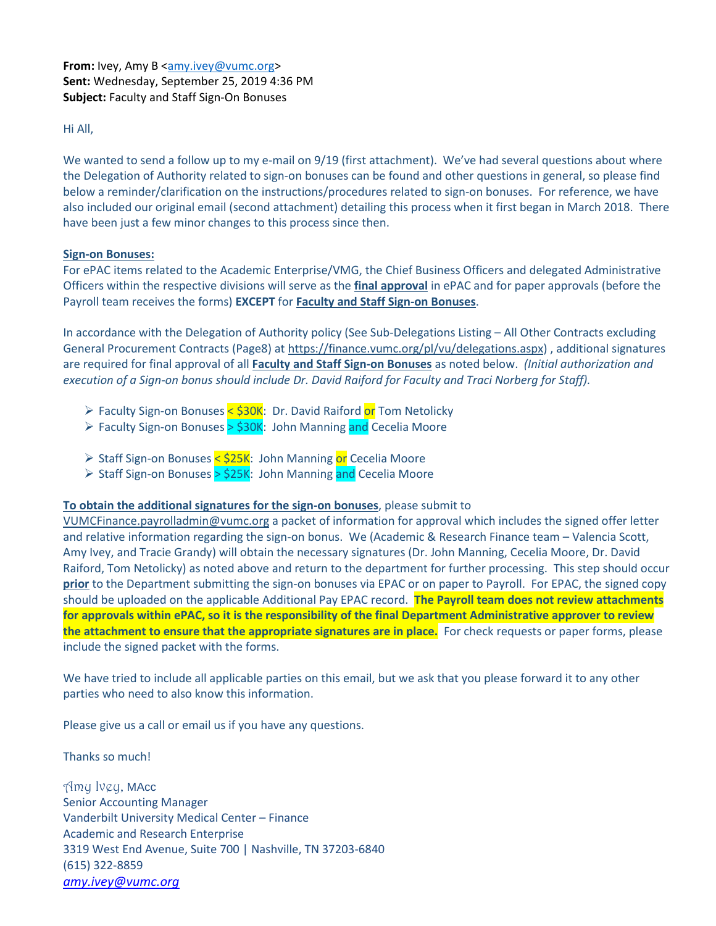**From:** Ivey, Amy B [<amy.ivey@vumc.org>](mailto:amy.ivey@vumc.org) **Sent:** Wednesday, September 25, 2019 4:36 PM **Subject:** Faculty and Staff Sign-On Bonuses

Hi All,

We wanted to send a follow up to my e-mail on 9/19 (first attachment). We've had several questions about where the Delegation of Authority related to sign-on bonuses can be found and other questions in general, so please find below a reminder/clarification on the instructions/procedures related to sign-on bonuses. For reference, we have also included our original email (second attachment) detailing this process when it first began in March 2018. There have been just a few minor changes to this process since then.

# **Sign-on Bonuses:**

For ePAC items related to the Academic Enterprise/VMG, the Chief Business Officers and delegated Administrative Officers within the respective divisions will serve as the **final approval** in ePAC and for paper approvals (before the Payroll team receives the forms) **EXCEPT** for **Faculty and Staff Sign-on Bonuses**.

In accordance with the Delegation of Authority policy (See Sub-Delegations Listing – All Other Contracts excluding General Procurement Contracts (Page8) at [https://finance.vumc.org/pl/vu/delegations.aspx\)](https://nam05.safelinks.protection.outlook.com/?url=https%3A%2F%2Ffinance.vumc.org%2Fpl%2Fvu%2Fdelegations.aspx&data=02%7C01%7Cchereta.brigman%40vumc.org%7Cf59dd236296e4e9a08b708d7428f6a59%7Cef57503014244ed8b83c12c533d879ab%7C0%7C0%7C637051056040041215&sdata=LTVaUhEE4UCAiHR1paPyAoVw2XY6gYga78wI00IeSPM%3D&reserved=0) , additional signatures are required for final approval of all **Faculty and Staff Sign-on Bonuses** as noted below. *(Initial authorization and execution of a Sign-on bonus should include Dr. David Raiford for Faculty and Traci Norberg for Staff).*

- > Faculty Sign-on Bonuses < \$30K: Dr. David Raiford or Tom Netolicky
- ► Faculty Sign-on Bonuses > \$30K: John Manning and Cecelia Moore
- ► Staff Sign-on Bonuses < \$25K: John Manning or Cecelia Moore
- ► Staff Sign-on Bonuses > \$25K: John Manning and Cecelia Moore

# **To obtain the additional signatures for the sign-on bonuses**, please submit to

[VUMCFinance.payrolladmin@vumc.org](mailto:VUMCFinance.payrolladmin@vumc.org) a packet of information for approval which includes the signed offer letter and relative information regarding the sign-on bonus. We (Academic & Research Finance team – Valencia Scott, Amy Ivey, and Tracie Grandy) will obtain the necessary signatures (Dr. John Manning, Cecelia Moore, Dr. David Raiford, Tom Netolicky) as noted above and return to the department for further processing. This step should occur **prior** to the Department submitting the sign-on bonuses via EPAC or on paper to Payroll. For EPAC, the signed copy should be uploaded on the applicable Additional Pay EPAC record. **The Payroll team does not review attachments for approvals within ePAC, so it is the responsibility of the final Department Administrative approver to review the attachment to ensure that the appropriate signatures are in place.** For check requests or paper forms, please include the signed packet with the forms.

We have tried to include all applicable parties on this email, but we ask that you please forward it to any other parties who need to also know this information.

Please give us a call or email us if you have any questions.

Thanks so much!

Amy Ivey, MAcc Senior Accounting Manager Vanderbilt University Medical Center – Finance Academic and Research Enterprise 3319 West End Avenue, Suite 700 | Nashville, TN 37203-6840 (615) 322-8859 *[amy.ivey@vumc.org](mailto:amy.ivey@vumc.org)*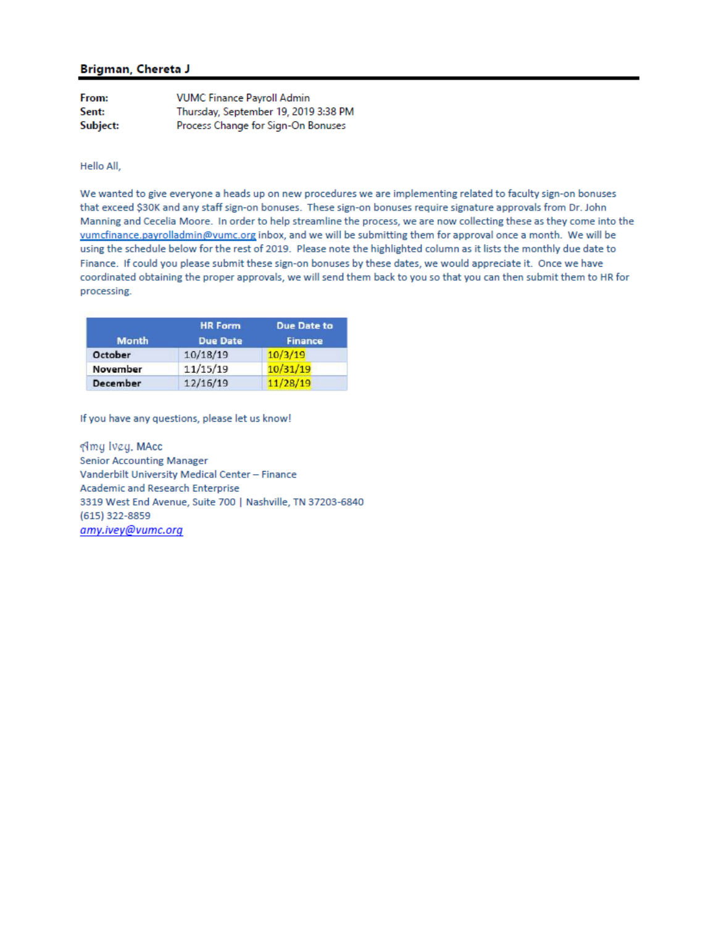## Brigman, Chereta J

| From:    | <b>VUMC Finance Pavroll Admin</b><br>Thursday, September 19, 2019 3:38 PM<br>Process Change for Sign-On Bonuses |  |
|----------|-----------------------------------------------------------------------------------------------------------------|--|
| Sent:    |                                                                                                                 |  |
| Subject: |                                                                                                                 |  |

Hello All,

We wanted to give everyone a heads up on new procedures we are implementing related to faculty sign-on bonuses that exceed \$30K and any staff sign-on bonuses. These sign-on bonuses require signature approvals from Dr. John Manning and Cecelia Moore. In order to help streamline the process, we are now collecting these as they come into the vumcfinance.payrolladmin@vumc.org inbox, and we will be submitting them for approval once a month. We will be using the schedule below for the rest of 2019. Please note the highlighted column as it lists the monthly due date to Finance. If could you please submit these sign-on bonuses by these dates, we would appreciate it. Once we have coordinated obtaining the proper approvals, we will send them back to you so that you can then submit them to HR for processing.

|              | <b>HR Form</b><br><b>Due Date</b> | <b>Due Date to</b><br><b>Finance</b> |
|--------------|-----------------------------------|--------------------------------------|
| <b>Month</b> |                                   |                                      |
| October      | 10/18/19                          | 10/3/19                              |
| November     | 11/15/19                          | 10/31/19                             |
| December     | 12/16/19                          | 11/28/19                             |

If you have any questions, please let us know!

Amy Ivey, MAcc **Senior Accounting Manager** Vanderbilt University Medical Center - Finance Academic and Research Enterprise 3319 West End Avenue, Suite 700 | Nashville, TN 37203-6840 (615) 322-8859 amy.ivey@vumc.org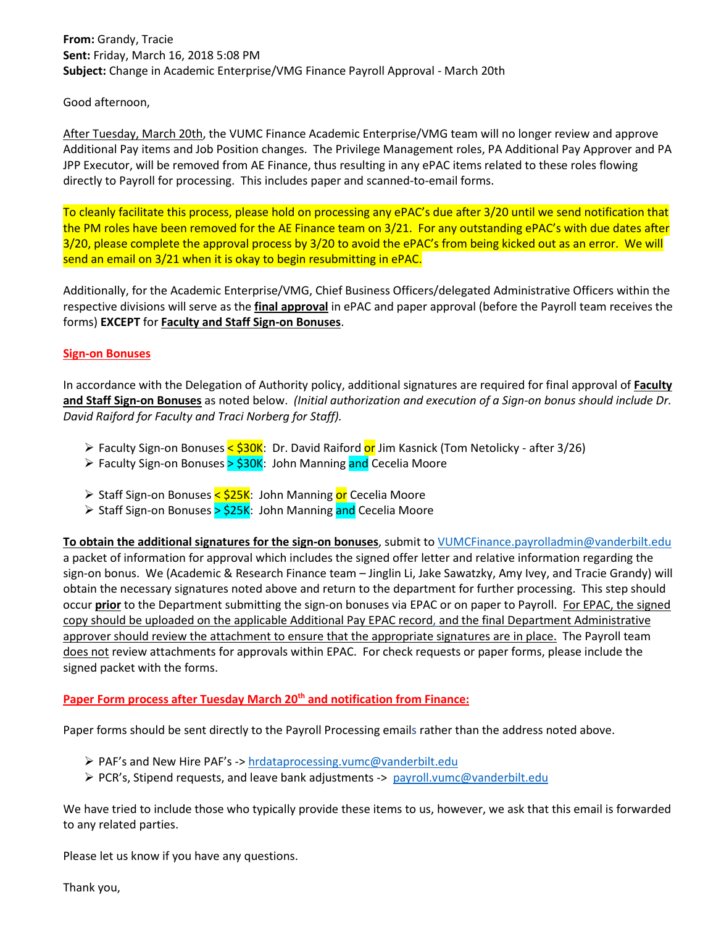**From:** Grandy, Tracie **Sent:** Friday, March 16, 2018 5:08 PM **Subject:** Change in Academic Enterprise/VMG Finance Payroll Approval - March 20th

Good afternoon,

After Tuesday, March 20th, the VUMC Finance Academic Enterprise/VMG team will no longer review and approve Additional Pay items and Job Position changes. The Privilege Management roles, PA Additional Pay Approver and PA JPP Executor, will be removed from AE Finance, thus resulting in any ePAC items related to these roles flowing directly to Payroll for processing. This includes paper and scanned-to-email forms.

To cleanly facilitate this process, please hold on processing any ePAC's due after 3/20 until we send notification that the PM roles have been removed for the AE Finance team on 3/21. For any outstanding ePAC's with due dates after 3/20, please complete the approval process by 3/20 to avoid the ePAC's from being kicked out as an error. We will send an email on 3/21 when it is okay to begin resubmitting in ePAC.

Additionally, for the Academic Enterprise/VMG, Chief Business Officers/delegated Administrative Officers within the respective divisions will serve as the **final approval** in ePAC and paper approval (before the Payroll team receives the forms) **EXCEPT** for **Faculty and Staff Sign-on Bonuses**.

## **Sign-on Bonuses**

In accordance with the Delegation of Authority policy, additional signatures are required for final approval of **Faculty and Staff Sign-on Bonuses** as noted below. *(Initial authorization and execution of a Sign-on bonus should include Dr. David Raiford for Faculty and Traci Norberg for Staff).*

- Faculty Sign-on Bonuses <  $$30K$ : Dr. David Raiford or Jim Kasnick (Tom Netolicky after 3/26)
- ► Faculty Sign-on Bonuses > \$30K: John Manning and Cecelia Moore
- ≻ Staff Sign-on Bonuses < \$25K: John Manning or Cecelia Moore
- ► Staff Sign-on Bonuses > \$25K: John Manning and Cecelia Moore

**To obtain the additional signatures for the sign-on bonuses**, submit to [VUMCFinance.payrolladmin@vanderbilt.edu](mailto:VUMCFinance.payrolladmin@vanderbilt.edu) a packet of information for approval which includes the signed offer letter and relative information regarding the sign-on bonus. We (Academic & Research Finance team – Jinglin Li, Jake Sawatzky, Amy Ivey, and Tracie Grandy) will obtain the necessary signatures noted above and return to the department for further processing. This step should occur **prior** to the Department submitting the sign-on bonuses via EPAC or on paper to Payroll. For EPAC, the signed copy should be uploaded on the applicable Additional Pay EPAC record, and the final Department Administrative approver should review the attachment to ensure that the appropriate signatures are in place. The Payroll team does not review attachments for approvals within EPAC. For check requests or paper forms, please include the signed packet with the forms.

#### **Paper Form process after Tuesday March 20<sup>th</sup> and notification from Finance:**

Paper forms should be sent directly to the Payroll Processing emails rather than the address noted above.

- PAF's and New Hire PAF's -> [hrdataprocessing.vumc@vanderbilt.edu](mailto:hrdataprocessing.vumc@vanderbilt.edu)
- $\triangleright$  PCR's, Stipend requests, and leave bank adjustments -> [payroll.vumc@vanderbilt.edu](mailto:payroll.vumc@vanderbilt.edu)

We have tried to include those who typically provide these items to us, however, we ask that this email is forwarded to any related parties.

Please let us know if you have any questions.

Thank you,